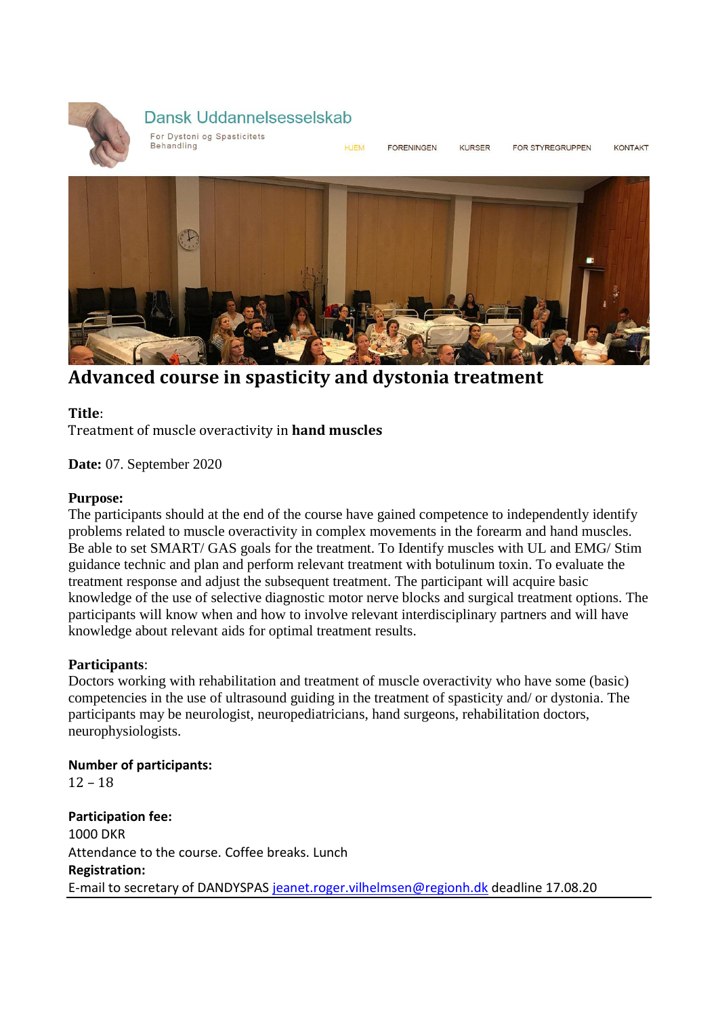

# Dansk Uddannelsesselskab

For Dystoni og Spasticitets Behandling

**HJFM FORENINGEN** 

KURSER

FOR STYREGRUPPEN

**KONTAKT** 



**Advanced course in spasticity and dystonia treatment**

# **Title**:

Treatment of muscle overactivity in **hand muscles**

**Date:** 07. September 2020

# **Purpose:**

The participants should at the end of the course have gained competence to independently identify problems related to muscle overactivity in complex movements in the forearm and hand muscles. Be able to set SMART/ GAS goals for the treatment. To Identify muscles with UL and EMG/ Stim guidance technic and plan and perform relevant treatment with botulinum toxin. To evaluate the treatment response and adjust the subsequent treatment. The participant will acquire basic knowledge of the use of selective diagnostic motor nerve blocks and surgical treatment options. The participants will know when and how to involve relevant interdisciplinary partners and will have knowledge about relevant aids for optimal treatment results.

# **Participants**:

Doctors working with rehabilitation and treatment of muscle overactivity who have some (basic) competencies in the use of ultrasound guiding in the treatment of spasticity and/ or dystonia. The participants may be neurologist, neuropediatricians, hand surgeons, rehabilitation doctors, neurophysiologists.

**Number of participants:** 12 – 18 **Participation fee:** 1000 DKR Attendance to the course. Coffee breaks. Lunch **Registration:** E-mail to secretary of DANDYSPA[S jeanet.roger.vilhelmsen@regionh.dk](mailto:jeanet.roger.vilhelmsen@regionh.dk) deadline 17.08.20